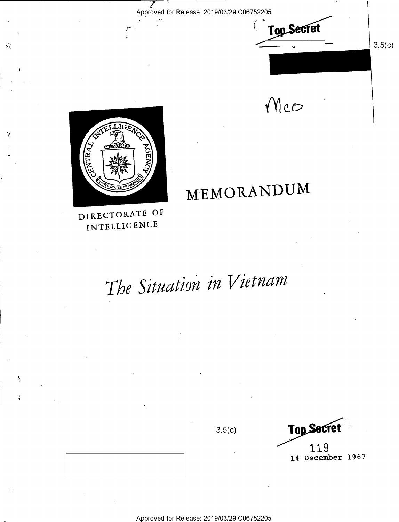Approved for Release: 2019/03/29 C06752205

 $Z \geq 2$ 

**Top Secret** 

 $3.5(c)$ 

 $Mcc$ 

/ MEMORANDUM



 $\frac{1}{2}$  /T  $\frac{1}{2}$  /T  $\frac{1}{2}$  /T  $\frac{1}{2}$  /T  $\frac{1}{2}$  /T  $\frac{1}{2}$  /T  $\frac{1}{2}$  /T  $\frac{1}{2}$  /T  $\frac{1}{2}$  /T  $\frac{1}{2}$  /T  $\frac{1}{2}$  /T  $\frac{1}{2}$  /T  $\frac{1}{2}$  /T  $\frac{1}{2}$  /T  $\frac{1}{2}$  /T  $\frac{1}{2}$  /T  $\frac{1}{2}$  /T

 $\hat{\mathbf{y}}$  :

?

DIRECTORATE OF INTELLIGENCE

# The Situation in Vietnam

 $3.5(c)$ 

**Top Secret** \* 119 14 December 1957

Approved for Release: 2019/03/29 C06752205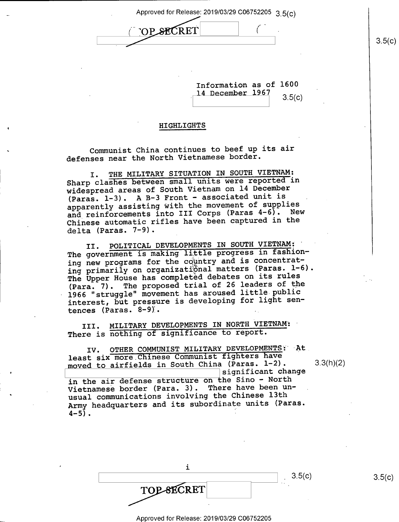Approved for Release: 2019/03/29 C06752205  $3.5(c)$ 

 $($  op secret  $($ 

Information as of 1600 14 December 1967  $3.5(c)$ 

#### **HIGHLIGHTS**

Communist China continues to beef up its air defenses near the North Vietnamese border.

I. THE MILITARY SITUATION IN SOUTH VIETNAM: Sharp clashes between small units were reported in widespread areas of South Vietnam on 14 December (Paras. 1-3). A B-3 Front - associated unit is apparently assisting with the movement of supplies and reinforcements into III Corps (Paras 4-6). New Chinese automatic rifles have been captured in the delta (Paras. 7-9).

II. POLITICAL DEVELOPMENTS IN SOUTH VIETNAM; ' The government is making little progress in fashioning new programs for the country and is concentrating primarily on organizational matters (Paras. 1-6). The Upper House has completed debates on its rules (Para. 7). The proposed trial of 26 leaders of the 1966 "struggle" movement has aroused little public interest, but pressure is developing for light sentences (Paras.  $8-9$ ).

III. MILITARY DEVELOPMENTS IN NORTH VIETNAM: There is nothing of significance to report.

IV. OTHER COMMUNIST MILITARY DEVELOPMENTS: At least six more Chinese Communist fighters have moved to airfields in South China (Paras.  $1-2$ ).  $3.3(h)(2)$ significant change in the air defense structure on the Sino - North Vietnamese border (Para. 3). There have been unusual communications involving the Chinese 13th Army headquarters and its subordinate units (Paras.<br>4-5).  $4-5$ ).

| TOP-SECRET |  |  |
|------------|--|--|
|            |  |  |

 $3.5(c)$ 

Approved for Release: 2019/03/29 C06752205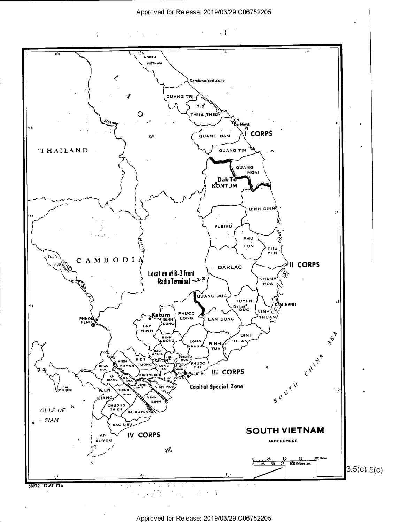

 $\mathbf{r}$ 



Approved for Release: 2019/03/29 C06752205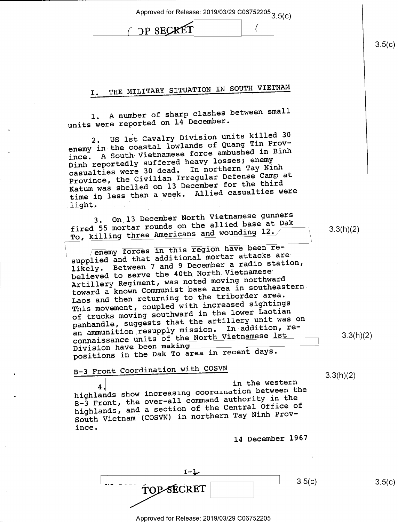Approved for Release: 2019/03/29 C06752205 $3.5(c)$ 

| <b>OP SECR</b><br>ъı |  |
|----------------------|--|
|                      |  |

I. THE MILITARY SITUATION IN SOUTH VIETNAM

l. A number of sharp clashes between small units were reported on 14 December.

2. US lst Cavalry Division units killed 30 enemy in the coastal lowlands of Quang Tin Province. A South Vietnamese force ambushed in Binh Dinh reportedly suffered heavy losses; enemy casualties were 30 dead. In northern Tay Ninh Province, the Civilian Irregular Defense Camp at Katum was shelled on l3 December for the third Ratum was Shorron of The Casualties were  $l$ light.

3. On l3 December North Vietnamese gunners fired 55 mortar rounds on the allied base at Dak fired 55 mortar rounds on the diricularity  $T_{\rm CO}$ , killing three Americans and wounding 12.  $\sim$  3.3(h)(2)

 $\sqrt{2}$  enemy forces in this region have been resupplied and that additional mortar attacks are likely. Between 7 and 9 December a radio station, believed to serve the 40th North Vietnamese Artillery Regiment, was noted moving northward toward a known Communist base area in southeastern. Laos and then returning to the triborder area. This movement, coupled with increased sightings of trucks moving southward in the lower Laotian panhandle, suggests that the artillery unit was on an ammunition resupply mission. In addition, reconnaissance units of the North Vietnamese lst<br>Division have been making Division have been making \_ positions in the Dak To area in recent days.

B-3 Front Coordination with COSVN

3.3(h)(2)

3.3(h)(2)

4. in the western<br>detween the masser of detwine is in the western highlands show increasing coordination between the B-3 Front, the over—all command authority in the highlands, and a section of the Central Office of South Vietnam (COSVN) in northern Tay Ninh Province.

14 December 1967

 $I-J$  $\overline{TOP \cdot \overline{SCRET}}$  3.5(c)

 $3.5(c)$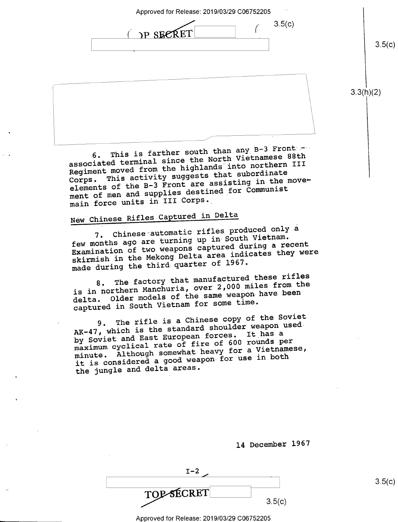Approved for Release: 2019/03/29 C06752205

I  $3.5(c)$ TP SECRET

3.3(h)(2)

 $3.5(c)$ 

6. This is farther south than any B-3 Front associated terminal since the North Vietnamese 88th Regiment moved from the highlands into northern III Corps. This activity suggests that subordinate elements of the B-3 Front are assisting in the movement of men and supplies destined\_for Communist main force units in III Corps.

 $\sqrt{1 - \frac{1}{2}}$ 

## New Chinese Rifles Captured in Delta

7. Chinese automatic rifles produced only a few months ago are turning up in South Vietnam. Examination of two weapons captured during a recent skirmish in the Mekong Delta area indicates they were made during the third quarter of 1967.

The factory that manufactured these rifles is in northern Manchuria, over 2,000 miles from the delta. Older models of the same weapon-have been captured in South Vietnam for some time.

The rifle is a Chinese copy of the Soviet AK-47, which is the standard shoulder weapon usedby Soviet and East European forces. It has a maximum cyclical rate of fire of 600 rounds per minute. Although somewhat heavy for a Vietnamese, it is considered a good weapon for use in.both the jungle and delta areas.

| $I-2$      |        |
|------------|--------|
| TOP SECRET | 3.5(c) |

l4 December 1967

 $3.5(c)$ 

I Approved for Release: 2019/03/29 C06752205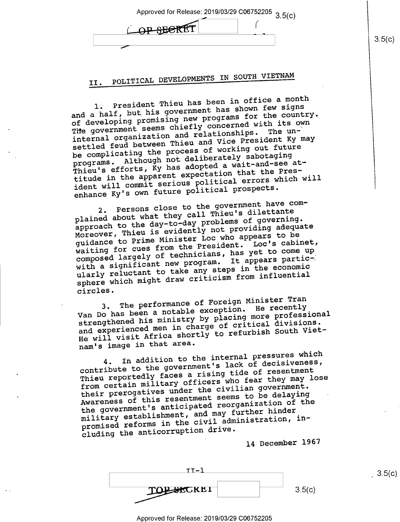| Approved for Release: 2019/03/29 C06752205 3 5(c) |  |
|---------------------------------------------------|--|
| ORGHARET                                          |  |
|                                                   |  |

## II. POLITICAL DEVELOPMENTS IN SOUTH VIETNAM

1; President Thieu has been in office a month and a half, but his government has shown few signs of developing promising new programs for the country. The government seems chiefly concerned with its own internal organization and relationships. The unsettled feud between Thieu and Vice President Ky may be complicating the process of working out future programs. Although not deliberately sabotaging Thieu's efforts,  $\bar{K}y$  has adopted a wait-and-see attitude in the apparent expectation that the President will commit serious political errors which will enhance Ky's own future political prospects.

2. Persons close to the government have complained about what they call Thieu's dilettante approach to the day-to-day problems of governing. Moreover, Thieu is evidently not providing adequate guidance to Prime Minister Loc who appears to be waiting for cues from the President. Loc's cabinet, composed largely of technicians, has yet to come up with a significant new program. It appears particularly reluctant to take any steps in the economic sphere which might draw criticism from influential circles.

The performance of Foreign Minister Tran Van Do has been a notable exception. He recently strengthened his ministry by placing more professional and experienced men in charge of critical divisions. He will visit Africa shortly to refurbish South Vietnam's image in that area.

In addition to the internal pressures which contribute to the government's lack of decisiveness, Thieu reportedly faces a rising tide of resentment from certain military officers who fear they may lose their prerogatives under the civilian government. Awareness of this resentment seems to be delaying the government's anticipated reorganization of the military establishment, and may further hinder promised reforms in the civil administration, including the anticorruption drive.

14 December 1967

II-l F W»

Approved for Release: 2019/03/29 C06752205

 $3.5(c)$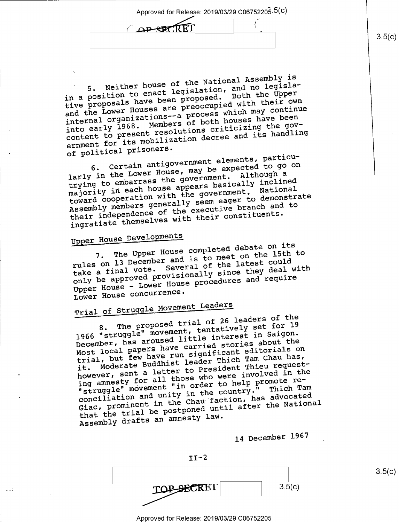Approved for Release: 2019/03/29 C06752205.5(C)

APSPERET

5. Neither house of the National Assembly is in a position to enact legislation, and no legisla—. tive proposals have been proposed. Both the Upper and the Lower Houses are preoccupied with their own internal organizations——a process which may continue into early 1968. Members of both houses have been content to present resolutions criticizing the government for its mobilization decree and its handling of political prisoners.

6. Certain antigovernment elements, particularly in the Lower House, may be expected to go on trying to embarrass the government. Although <sup>a</sup> majority in each house appears basically inclined toward cooperation with the government, National Assembly members generally seem eager to demonstrate their independence of the executive branch and to ingratiate themselves with their constituents.

### Upper House Developments

 $\ddot{\phantom{0}}$ 

The Upper House completed debate on its rules on 13 December and is to meet on the l5th to take a final vote. Several of the latest could only be approved provisionally since they deal with Upper House — Lower House procedures and require Lower House concurrence.

# Trial of Struggle Movement Leaders

The proposed trial of 26 leaders of the 1966 "struggle" movement, tentatively set for <sup>19</sup> December, has aroused little interest in Saigon. Most local papers have carried stories about the trial, but few have run significant editorials on Moderate Buddhist leader Thich Tam Chau has, however, sent a letter to President Thieu requesthowever, sent a letter to Fresruch.<br>ing amnesty for all those who were involved in the<br>ing amnesty for all those who were involved reing amnesty for all those who wore<br>"struggle" movement "in order to help promote reconciliation and unity in the country." Thich Tam Giac, prominent in the Chau faction, has advocated that the trial be postponed until after the National Assembly drafts an amnesty law.

<sup>14</sup>December <sup>1967</sup>

 $II-2$  $\mathbf{TOP}\longrightarrow\mathbf{ECRET}$  3.5(c)

Approved for Release: 2019/03/29 C06752205

 $3.5(c)$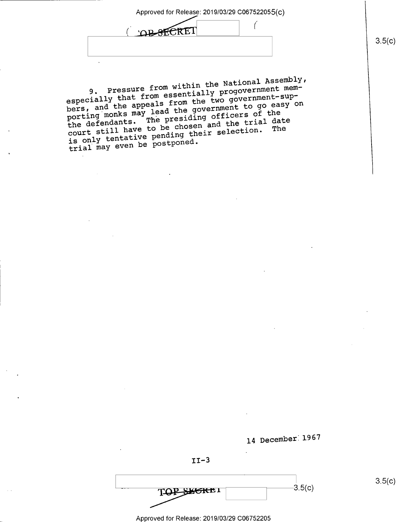Approved for Release: 2019/03/29 C067522055( C)

 $\left($ **OR STERET**  $\mathbf{r}$ 

9. Pressure from within the National Assembly, especially that from essentially progovernment members, and the appeals from the two government-supporting monks may lead the government to go easy on porting monks may lead the solid officers of the<br>the defendants. The presiding officers of the<br>the trial have to be chosen and the trial The the defendants. The presiding and the trial date<br>court still have to be chosen and the trial date<br>court still have pending their selection. The is only tentative pending their selection. The trial may even be postponed.



 $-3.5(c)$ 

 $3.5(c)$ 

TOP SHEKE!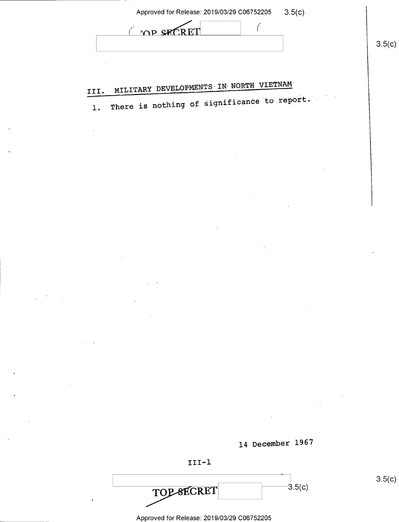| Approved for Release: 2019/03/29 C06752205 | 3.5(c) |
|--------------------------------------------|--------|
|--------------------------------------------|--------|

 $\big($ 

|  | OP SECRET |  |
|--|-----------|--|
|  |           |  |

# III. MILITARY DEVELOPMENTS IN NORTH VIETNAM

There is nothing of significance to report.  $\mathbf{1}$ .





 $-3.5(c)$ TOP-SECRET

 $3.5(c)$ 

 $3.5(c)$ 

Approved for Release: 2019/03/29 C06752205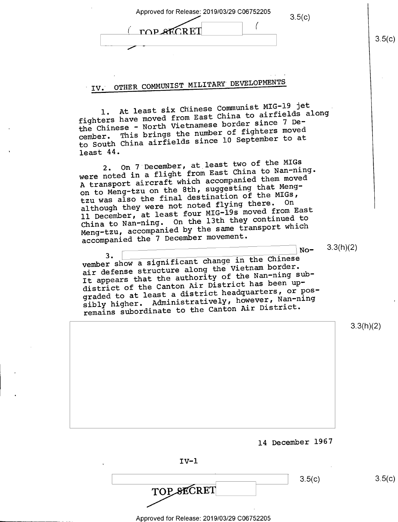| Approved for Release: 2019/03/29 C06752205<br>3.5(c)<br><b>TOP SECRET</b>                                                                                                                                                                                                                                                                                                                                                                                                                                                                                                                                                                                                                                                                                                                                                                                                             | 3.5(c) |
|---------------------------------------------------------------------------------------------------------------------------------------------------------------------------------------------------------------------------------------------------------------------------------------------------------------------------------------------------------------------------------------------------------------------------------------------------------------------------------------------------------------------------------------------------------------------------------------------------------------------------------------------------------------------------------------------------------------------------------------------------------------------------------------------------------------------------------------------------------------------------------------|--------|
| OTHER COMMUNIST MILITARY DEVELOPMENTS<br>IV.<br>1. At least six Chinese Communist MIG-19 jet<br>fighters have moved from East China to airfields along<br>the Chinese - North Vietnamese border since 7 De-<br>This brings the number of fighters moved<br>cember.<br>to South China airfields since 10 September to at<br>least $44.$<br>2. On 7 December, at least two of the MIGs<br>were noted in a flight from East China to Nan-ning.<br>A transport aircraft which accompanied them moved<br>on to Meng-tzu on the 8th, suggesting that Meng-<br>tzu was also the final destination of the MIGs,<br>although they were not noted flying there. On<br>11 December, at least four MIG-19s moved from East<br>China to Nan-ning. On the 13th they continued to<br>Meng-tzu, accompanied by the same transport which<br>accompanied the 7 December movement.<br>3.3(h)(2)<br>$No-$ |        |
| 3.<br>vember show a significant change in the Chinese<br>air defense structure along the Vietnam border.<br>It appears that the authority of the Nan-ning sub-<br>district of the Canton Air District has been up-<br>graded to at least a district headquarters, or pos-<br>sibly higher. Administratively, however, Nan-ning<br>remains subordinate to the Canton Air District.                                                                                                                                                                                                                                                                                                                                                                                                                                                                                                     |        |
| 3.3(h)(2)                                                                                                                                                                                                                                                                                                                                                                                                                                                                                                                                                                                                                                                                                                                                                                                                                                                                             |        |
| 14 December 1967                                                                                                                                                                                                                                                                                                                                                                                                                                                                                                                                                                                                                                                                                                                                                                                                                                                                      |        |
| $IV-1$                                                                                                                                                                                                                                                                                                                                                                                                                                                                                                                                                                                                                                                                                                                                                                                                                                                                                |        |

| TOP SECRET |
|------------|

3.5(c)  $3.5(c)$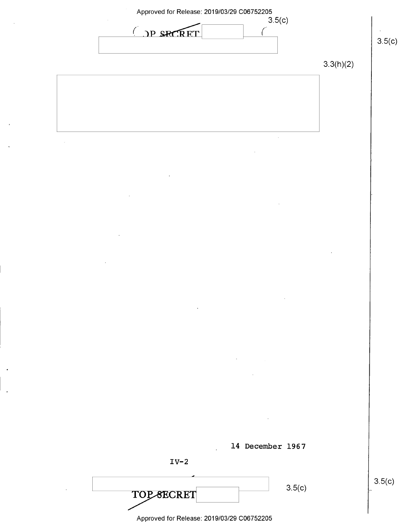

\_ Approved for Release: 2019/03/29 C06752205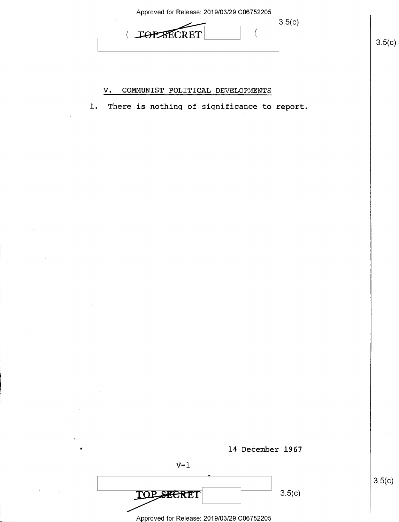| Approved for Release: 2019/03/29 C06752205 |        |
|--------------------------------------------|--------|
|                                            | 3.5(c) |
| <b>TOP XTI</b><br>LD F.                    |        |
|                                            |        |

### V. COMMUNIST POLITICAL DEVELOPMENTS

1. There is nothing of significance to report.



 $3.5(c)$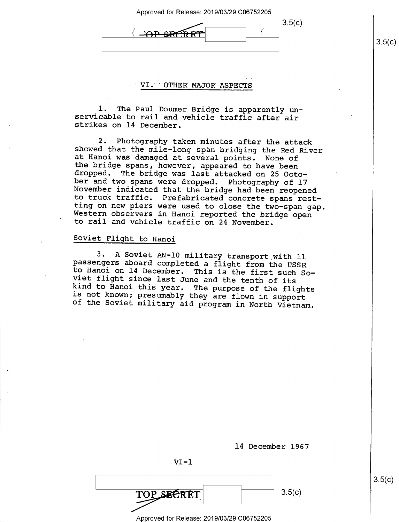$3.5(c)$ 

f

#### VI. OTHER MAJOR ASPECTS

( \*

l. The Paul Doumer Bridge is apparently un- servicable to rail and vehicle traffic after air strikes on l4 December.

2. Photography taken minutes after the attack<br>showed that the mile-long span bridging the Red River<br>at Hanoi was damaged at several points. None of<br>the bridge spans, however, appeared to have been<br>dropped. The bridge was l

### Soviet Flight to Hanoi

3. A Soviet AN-10 military transport with 11<br>passengers aboard completed a flight from the USSR<br>to Hanoi on 14 December. This is the first such So-<br>viet flight since last June and the tenth of its<br>kind to Hanoi this year.

| $VI - 1$   |        |
|------------|--------|
| TOP SECRET | 3.5(c) |

Approved for Release: 2019/03/29 C06752205

l4 December 1967

 $3.5(c)$